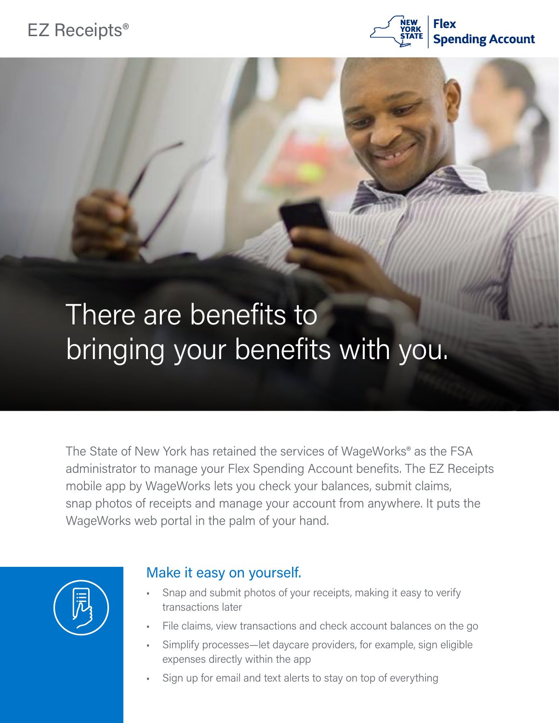## EZ Receipts®



## There are benefits to bringing your benefits with you.

The State of New York has retained the services of WageWorks® as the FSA administrator to manage your Flex Spending Account benefits. The EZ Receipts mobile app by WageWorks lets you check your balances, submit claims, snap photos of receipts and manage your account from anywhere. It puts the WageWorks web portal in the palm of your hand.



## Make it easy on yourself.

- Snap and submit photos of your receipts, making it easy to verify transactions later
- File claims, view transactions and check account balances on the go
- Simplify processes—let daycare providers, for example, sign eligible expenses directly within the app
- Sign up for email and text alerts to stay on top of everything